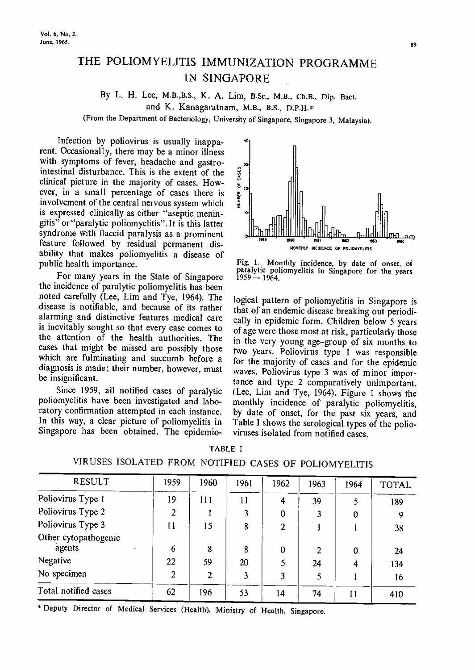# THE POLIOMYELITIS IMMUNIZATION PROGRAMME IN SINGAPORE

## By L. H. Lee, M.B.,B.S., K. A. Lim, B.Sc., M.B., Ch.B., Dip. Bact. and K. Kanagaratnam, M.B., B.S., D.P.H.\* (From the Department of Bacteriology, University of Singapore, Singapore 3, Malaysia).

Infection by poliovirus is usually inapparent. Occasionally, there may be a minor illness with symptoms of fever, headache and gastrointestinal disturbance. This is the extent of the clinical picture in the majority of cases. However, in a small percentage of cases. How-<br>ever, in a small percentage of cases there is  $\frac{1}{2}$ <br>involvement of the central nervous system which involvement of the central nervous system which is expressed clinically as either "aseptic meningitis" or"paralytic poliomyelitis". It is this latter syndrome with flaccid paralysis as a prominent feature followed by residual permanent disability that makes poliomyelitis a disease of public health importance.

For many years in the State of Singapore 1959 -- 1964. the incidence of paralytic poliomyelitis has been noted carefully (Lee, Lim and Tye, 1964). The disease is notifiable, and because of its rather alarming and distinctive features medical care is inevitably sought so that every case comes to the attention of the health authorities. The cases that might be missed are possibly those which are fulminating and succumb before a diagnosis is made; their number, however, must be insignificant.

Since 1959, all notified cases of paralytic poliomyelitis have been investigated and laboratory confirmation attempted in each instance. In this way, a clear picture of poliomyelitis in Singapore has been obtained. The epidemio-



Fig. 1. Monthly incidence, by date of onset, of paralytic poliomyelitis in Singapore for the years

logical pattern of poliomyelitis in Singapore is that of an endemic disease breaking out periodically in epidemic form. Children below 5 years of age were those most at risk, particularly those in the very young age-group of six months to two years. Poliovirus type I was responsible for the majority of cases and for the epidemic waves. Poliovirus type 3 was of minor importance and type 2 comparatively unimportant. (Lee, Lim and Tye, 1964). Figure 1 shows the monthly incidence of paralytic poliomyelitis, by date of onset, for the past six years, and Table I shows the serological types of the polio-<br>viruses isolated from notified cases.

| . rs |  |
|------|--|
|------|--|

VIRUSES ISOLATED FROM NOTIFIED CASES OF POLIOMYELITIS

| <b>RESULT</b>        | 1959 | 1960           | 1961 | 1962             | 1963           | 1964         | <b>TOTAL</b> |
|----------------------|------|----------------|------|------------------|----------------|--------------|--------------|
| Poliovirus Type 1    | 19   | 111            | 11   | $\overline{4}$   | 39             | 5            | 189          |
| Poliovirus Type 2    | 2    |                | 3    | $\boldsymbol{0}$ |                | $\bf{0}$     | 9            |
| Poliovirus Type 3    | 11   | 15             | 8    | 2                |                |              | 38           |
| Other cytopathogenic |      |                |      |                  |                |              |              |
| agents               | 6    | 8              | 8    | $\boldsymbol{0}$ | $\mathfrak{D}$ | $\bf{0}$     | 24           |
| Negative             | 22   | 59             | 20   | 5                | 24             | 4            | 134          |
| No specimen          | 2    | $\overline{2}$ | 3    | 3                |                |              | 16           |
| Total notified cases | 62   | 196            | 53   | 14               | 74             | $\mathbf{1}$ | 410          |

Deputy Director of Medical Services (Health), Ministry of Health, Singapore.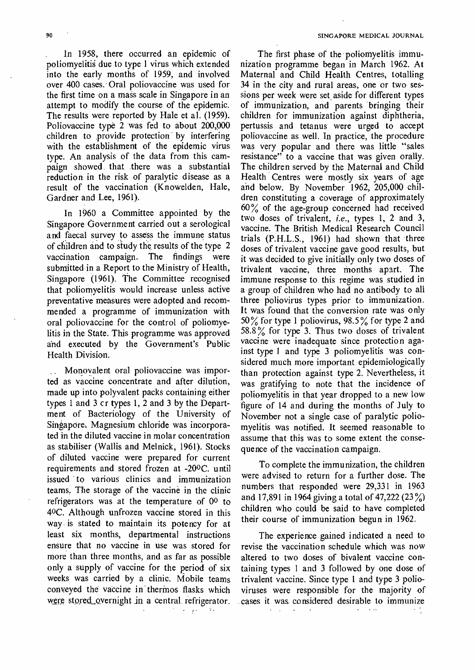In 1958, there occurred an epidemic of poliomyelitis due to type 1 virus which extended into the early months of 1959, and involved over 400 cases. Oral poliovaccine was used for the first time on a mass scale in Singapore in an attempt to modify the course of the epidemic. The results were reported by Hale et al. (1959). Poliovaccine type 2 was fed to about 200,000 children to provide protection by interfering with the establishment of the epidemic virus type. An analysis of the data from this campaign showed that there was a substantial reduction in the risk of paralytic disease as a result of the vaccination (Knowelden, Hale, Gardner and Lee, 1961).

In 1960 a Committee appointed by the Singapore Government carried out a serological and faecal survey to assess the immune status of children and to siudy the results of the type 2 vaccination campaign. The findings were submitted in a Report to the Ministry of Health, Singapore (1961). The Committee recognised that poliomyelitis would increase unless active preventative measures were adopted and recommended a. programme of immunization with oral poliovaccine for the control of poliomyelitis in the State. This programme was approved and executed by the Government's Public Health Division.

Monovalent oral poliovaccine was imported as vaccine concentrate and after dilution, made up into polyvalent packs containing either types 1 and 3 cr types 1, 2 and 3 by the Department of Bacteriology of the University of Singapore. Magnesium chloride was incorporated in the diluted vaccine in molar concentration as stabiliser (Wallis and Melnick, 1961). Stocks of diluted vaccine were prepared for current requirements and stored frozen at -200C. until issued to various clinics and immunization teams. The storage of the vaccine in the clinic refrigerators was at the temperature of 00 to 40C. Although unfrozen vaccine stored in this way is stated to maintain its potency for at least six months, departmental instructions ensure that no vaccine in use was stored for more than three months, and as far as possible only a supply of vaccine for the period of six weeks was carried by a clinic. Mobile teams conveyed the vaccine in thermos flasks which were stored overnight in a central refrigerator. مقاربتهم مراجل

The first phase of the poliomyelitis immunization programme began in March 1962. At Maternal and Child Health Centres, totalling 34 in the city and rural areas, one or two sessions per week were set aside for different types of immunization, and parents bringing their children for immunization against diphtheria, pertussis and tetanus were urged to accept poliovaccine as well. In practice, the procedure was very popular and there was little "sales resistance" to a vaccine that was given orally. The children served by the Maternal and Child Health Centres were mostly six years of age and below. By November 1962, 205,000 children constituting a coverage of approximately  $60\%$  of the age-group concerned had received two doses of trivalent, *i.e.*, types 1, 2 and 3, vaccine. The British Medical Research Council trials (P.H.L.S., 1961) had shown that three doses of trivalent vaccine gave good results, but it was decided to give initially only two doses of trivalent vaccine, three months apart. The immune response to this regime was studied in a group of children who had no antibody to all three poliovirus types prior to immunization. It was found that the conversion rate was only 50% for type 1 poliovirus, 98.5% for type 2 and 58.8% for type 3. Thus two doses of trivalent vaccine were inadequate since protection against type 1 and type 3 poliomyelitis was considered much more important epidemiologically than protection against type 2. Nevertheless, it was gratifying to note that the incidence of poliomyelitis in that year dropped to a new low figure of 14 and during the months of July to November not a single case of paralytic poliomyelitis was notified. It seemed reasonable to assume that this was to some extent the consequence of the vaccination campaign.

To complete the immunization, the children were advised to return for a further dose. The numbers that responded were 29,331 in 1963 and 17,891 in 1964 giving a total of 47,222 (23 %) children who could be said to have completed their course of immunization begun in 1962.

The experience gained indicated a need to revise the vaccination schedule which was now altered to two doses of bivalent vaccine containing types 1 and 3 followed by one dose of trivalent vaccine. Since type 1 and type 3 polioviruses were responsible for the majority of -cases it was considered desirable to immunize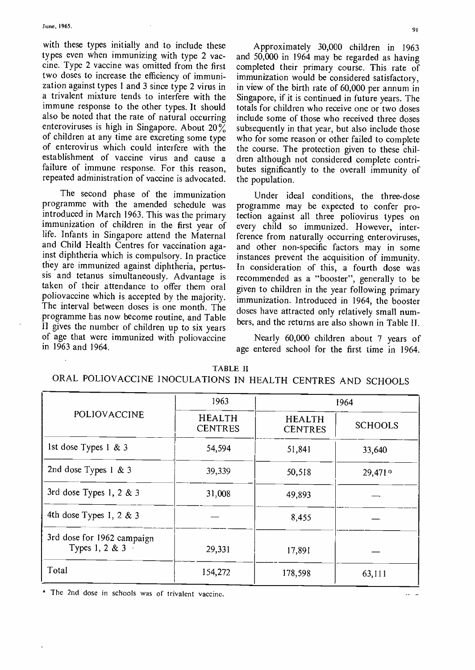with these types initially and to include these types even when immunizing with type 2 vaccine. Type 2 vaccine was omitted from the first two doses to increase the efficiency of immunization against types 1 and 3 since type 2 virus in a trivalent mixture tends to interfere with the immune response to the other types. It should also be noted that the rate of natural occurring enteroviruses is high in Singapore. About 20% of children at any time are excreting some type of enterovirus which could interfere with the establishment of vaccine virus and cause a failure of immune response. For this reason, repeated administration of vaccine is advocated.

The second phase of the immunization programme with the amended schedule was introduced in March 1963. This was the primary immunization of children in the first year of life. Infants in Singapore attend the Maternal and Child Health Centres for vaccination against diphtheria which is compulsory. In practice they are immunized against diphtheria, pertussis and tetanus simultaneously. Advantage is taken of their attendance to offer them oral poliovaccine which is accepted by the majority. The interval between doses is one month. The programme has now become routine, and Table II gives the number of children up to six years of age that were immunized with poliovaccine in 1963 and 1964.

Approximately 30,000 children in 1963 and 50,000 in 1964 may be regarded as having completed their primary course. This rate of immunization would be considered satisfactory, in view of the birth rate of 60,000 per annum in Singapore, if it is continued in future years. The totals for children who receive one or two doses include some of those who received three doses subsequently in that year, but also include those who for some reason or other failed to complete the course. The protection given to these children although not considered complete contributes significantly to the overall immunity of the population.

Under ideal conditions, the three-dose programme may be expected to confer protection against all three poliovirus types on every child so immunized. However, interference from naturally occurring enteroviruses, and other non-specific factors may in some instances prevent the acquisition of immunity. In consideration of this, a fourth dose was recommended as a "booster", generally to be given to children in the year following primary immunization. Introduced in 1964, the booster doses have attracted only relatively small numbers, and the returns are also shown in Table II.

Nearly 60,000 children about 7 years of age entered school for the first time in 1964.

|  |  | \ BI |  |  |
|--|--|------|--|--|
|--|--|------|--|--|

ORAL POLIOVACCINE INOCULATIONS IN HEALTH CENTRES AND SCHOOLS

|                                              | 1963                            | 1964                            |                |  |  |
|----------------------------------------------|---------------------------------|---------------------------------|----------------|--|--|
| POLIOVACCINE                                 | <b>HEALTH</b><br><b>CENTRES</b> | <b>HEALTH</b><br><b>CENTRES</b> | <b>SCHOOLS</b> |  |  |
| 1st dose Types $1 \& 3$                      | 54,594                          | 51,841                          | 33,640         |  |  |
| 2nd dose Types 1 & 3                         | 39,339                          | 50,518                          | 29,471*        |  |  |
| 3rd dose Types 1, 2 & 3                      | 31.008                          | 49,893                          |                |  |  |
| 4th dose Types 1, 2 & 3                      |                                 | 8,455                           |                |  |  |
| 3rd dose for 1962 campaign<br>Types 1, 2 & 3 | 29,331                          | 17,891                          |                |  |  |
| Total                                        | 154,272                         | 178,598                         | 63,111         |  |  |

The 2nd dose in schools was of trivalent vaccine.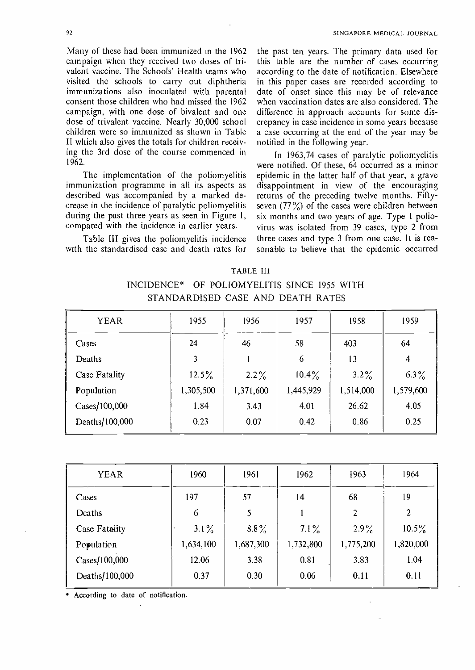Many of these had been immunized in the 1962 campaign when they received two doses of trivalent vaccine. The Schools' Health teams who visited the schools to carry out diphtheria immunizations also inoculated with parental consent those children who had missed the 1962 campaign, with one dose of bivalent and one dose of trivalent vaccine. Nearly 30,000 school children were so immunized as shown in Table II which also gives the totals for children receiving the 3rd dose of the course commenced in 1962.

The implementation of the poliomyelitis immunization programme in all its aspects as described was accompanied by a marked decrease in the incidence of paralytic poliomyelitis during the past three years as seen in Figure I, compared with the incidence in earlier years.

Table III gives the poliomyelitis incidence with the standardised case and death rates for

the past ten years. The primary data used for this table are the number of cases occurring according to the date of notification. Elsewhere in this paper cases are recorded according to date of onset since this may be of relevance when vaccination dates are also considered. The difference in approach accounts for some discrepancy in case incidence in some years because a case occurring at the end of the year may be notified in the following year.

In 1963,74 cases of paralytic poliomyelitis were notified. Of these, 64 occurred as a minor epidemic in the latter half of that year, a grave disappointment in view of the encouraging returns of the preceding twelve months. Fiftyseven  $(77\%)$  of the cases were children between six months and two years of age. Type 1 poliovirus was isolated from 39 cases, type 2 from three cases and type 3 from one case. It is reasonable to believe that the epidemic occurred

TABLE III INCIDENCE' OF POLIOMYELITIS SINCE 1955 WITH STANDARDISED CASE AND DEATH RATES

| <b>YEAR</b>    | 1955      | 1956      | 1957      | 1958      | 1959      |
|----------------|-----------|-----------|-----------|-----------|-----------|
| Cases          | 24        | 46        | 58        | 403       | 64        |
| Deaths         | 3         |           | 6         | 13        | 4         |
| Case Fatality  | $12.5\%$  | $2.2\%$   | $10.4\%$  | $3.2\%$   | $6.3\%$   |
| Population     | 1,305,500 | 1,371,600 | 1,445,929 | 1,514,000 | 1,579,600 |
| Cases/100,000  | 1.84      | 3.43      | 4.01      | 26.62     | 4.05      |
| Deaths/100,000 | 0.23      | 0.07      | 0.42      | 0.86      | 0.25      |

| <b>YEAR</b>    | 1960      | 1961      | 1962      | 1963      | 1964      |
|----------------|-----------|-----------|-----------|-----------|-----------|
| Cases          | 197       | 57        | 14        | 68        | 19        |
| Deaths         | 6         | 5         |           | 2         | 2         |
| Case Fatality  | $3.1\%$   | $8.8\%$   | $7.1\%$   | $2.9\%$   | $10.5\%$  |
| Population     | 1,634,100 | 1,687,300 | 1,732,800 | 1,775,200 | 1,820,000 |
| Cases/100,000  | 12.06     | 3.38      | 0.81      | 3.83      | 1.04      |
| Deaths/100,000 | 0.37      | 0.30      | 0.06      | 0.11      | 0.11      |
|                |           |           |           |           |           |

According to date of notification.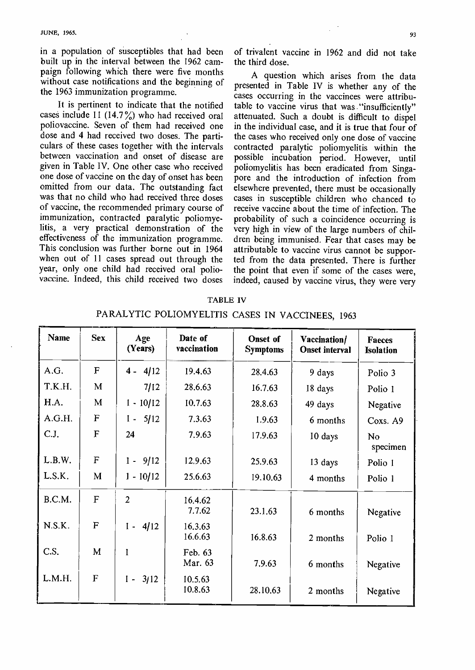$JUNE, 1965.$  93

in a population of susceptibles that had been built up in the interval between the 1962 campaign following which there were five months without case notifications and the beginning of the 1963 immunization programme.

It is pertinent to indicate that the notified cases include 11 (14.7%) who had received oral poliovaccine. Seven of them had received one dose and 4 had received two doses. The particulars of these cases together with the intervals between vaccination and onset of disease are given in Table IV. One other case who received one dose of vaccine on the day of onset has been omitted from our data. The outstanding fact was that no child who had received three doses of vaccine, the recommended primary course of immunization, contracted paralytic poliomyelitis, a very practical demonstration of the effectiveness of the immunization programme. This conclusion was further borne out in 1964 when out of 11 cases spread out through the year, only one child had received oral poliovaccine. Indeed, this child received two doses

of trivalent vaccine in 1962 and did not take the third dose.

A question which arises from the data presented in Table IV is whether any of the cases occurring in the vaccinees were attributable to vaccine virus that was "insufficiently" attenuated. Such a doubt is difficult to dispel in the individual case, and it is true that four of the cases who received only one dose of vaccine contracted paralytic poliomyelitis within the possible incubation period. However, until poliomyelitis has been eradicated from Singapore and the introduction of infection from elsewhere prevented, there must be occasionally cases in susceptible children who chanced to receive vaccine about the time of infection. The probability of such a coincidence occurring is very high in view of the large numbers of children being immunised. Fear that cases may be attributable to vaccine virus cannot be supported from the data presented. There is further the point that even if some of the cases were, indeed, caused by vaccine virus, they were very

| <b>Name</b> | <b>Sex</b>   | Age<br>(Years) | Date of<br>vaccination | Onset of<br><b>Symptoms</b> | Vaccination/<br><b>Onset interval</b> | Faeces<br><b>Isolation</b> |
|-------------|--------------|----------------|------------------------|-----------------------------|---------------------------------------|----------------------------|
| A.G.        | $\mathbf F$  | $4 - 4/12$     | 19.4.63                | 28,4.63                     | 9 days                                | Polio 3                    |
| T.K.H.      | M            | 7/12           | 28.6.63                | 16.7.63                     | 18 days                               | Polio 1                    |
| H.A.        | M            | $1 - 10/12$    | 10.7.63                | 28.8.63                     | 49 days                               | Negative                   |
| A.G.H.      | $\mathbf F$  | $1 - 5/12$     | 7.3.63                 | 1.9.63                      | 6 months                              | Coxs. A9                   |
| C.J.        | F            | 24             | 7.9.63                 | 17.9.63                     | 10 days                               | N <sub>o</sub><br>specimen |
| L.B.W.      | $\mathbf{F}$ | $1 - 9/12$     | 12.9.63                | 25.9.63                     | 13 days                               | Polio 1                    |
| L.S.K.      | M            | $1 - 10/12$    | 25.6.63                | 19.10.63                    | 4 months                              | Polio 1                    |
| B.C.M.      | F            | $\overline{2}$ | 16.4.62<br>7.7.62      | 23.1.63                     | 6 months                              | Negative                   |
| N.S.K.      | $\mathbf F$  | $1 - 4/12$     | 16.3.63<br>16.6.63     | 16.8.63                     | 2 months                              | Polio 1                    |
| C.S.        | M            | l              | Feb. 63<br>Mar. 63     | 7.9.63                      | 6 months                              | Negative                   |
| L.M.H.      | F            | $1 - 3/12$     | 10.5.63<br>10.8.63     | 28.10.63                    | 2 months                              | Negative                   |

TABLE IV PARALYTIC POLIOMYELITIS CASES IN VACCINEES, 1963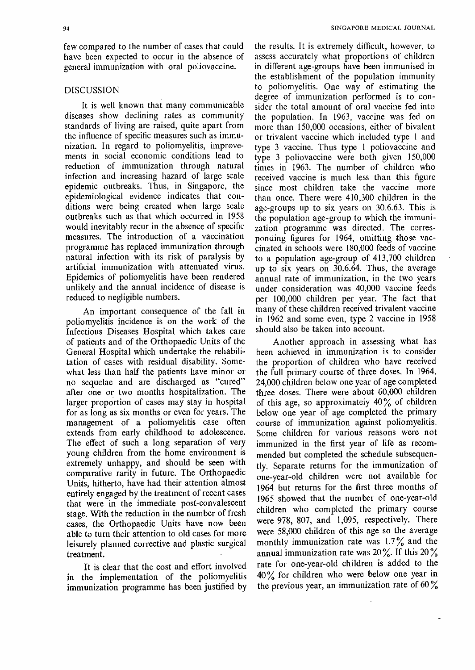few compared to the number of cases that could have been expected to occur in the absence of general immunization with oral poliovaccine.

### DISCUSSION

It is well known that many communicable diseases show declining rates as community standards of living are raised, quite apart from the influence of specific measures such as immunization. In regard to poliomyelitis, improvements in social economic conditions lead to reduction of immunization through natural infection and increasing hazard of large scale epidemic outbreaks. Thus, in Singapore, the epidemiological evidence indicates that conditions were being created when large scale outbreaks such as that which occurred in 1958 would inevitably recur in the absence of specific measures. The introduction of a vaccination programme has replaced immunization through natural infection with its risk of paralysis by artificial immunization with attenuated virus. Epidemics of poliomyelitis have been rendered unlikely and the annual incidence of disease is reduced to negligible numbers.

An important consequence of the fall in poliomyelitis incidence is on the work of the Infectious Diseases Hospital which takes care of patients and of the Orthopaedic Units of the General Hospital which undertake the rehabilitation of cases with residual disability. Somewhat less than half the patients have minor or no sequelae and are discharged as "cured" after one or two months hospitalization. The larger proportion of cases may stay in hospital for as long as six months or even for years. The management of a poliomyelitis case often extends from early childhood to adolescence. The effect of such a long separation of very young children from the home environment is extremely unhappy, and should be seen with comparative rarity in future. The Orthopaedic Units, hitherto, have had their attention almost entirely engaged by the treatment of recent cases that were in the immediate post -convalescent stage. With the reduction in the number of fresh cases, the Orthopaedic Units have now been able to turn their attention to old cases for more leisurely planned corrective and plastic surgical treatment.

It is clear that the cost and effort involved in the implementation of the poliomyelitis immunization programme has been justified by

the results. It is extremely difficult, however, to assess accurately what proportions of children in different age -groups have been immunised in the establishment of the population immunity to poliomyelitis. One way of estimating the degree of immunization performed is to consider the total amount of oral vaccine fed into the population. In 1963, vaccine was fed on more than 150,000 occasions, either of bivalent or trivalent vaccine which included type 1 and type 3 vaccine. Thus type 1 poliovaccine and type 3 poliovaccine were both given 150,000 times in 1963. The number of children who received vaccine is much less than this figure since most children take the vaccine more than once. There were 410,300 children in the age -groups up to six years on 30.6.63. This is the population age -group to which the immunization programme was directed. The corresponding figures for 1964, omitting those vaccinated in schools were 180,000 feeds of vaccine to a population age -group of 413,700 children up to six years on 30.6.64. Thus, the average annual rate of immunization, in the two years under consideration was 40,000 vaccine feeds per 100,000 children per year. The fact that many of these children received trivalent vaccine in 1962 and some even, type 2 vaccine in 1958 should also be taken into account.

Another approach in assessing what has been achieved in immunization is to consider the proportion of children who have received the full primary course of three doses. In 1964, 24,000 children below one year of age completed three doses. There were about 60,000 children of this age, so approximately 40% of children below one year of age completed the primary course of immunization against poliomyelitis. Some children for various reasons were not immunized in the first year of life as recommended but completed the schedule subsequently. Separate returns for the immunization of one -year -old children were not available for 1964 but returns for the first three months of 1965 showed that the number of one -year -old children who completed the primary course were 978, 807, and 1,095, respectively. There were 58,000 children of this age so the average monthly immunization rate was 1.7% and the annual immunization rate was  $20\%$ . If this  $20\%$ rate for one-year-old children is added to the 40% for children who were below one year in the previous year, an immunization rate of  $60\%$